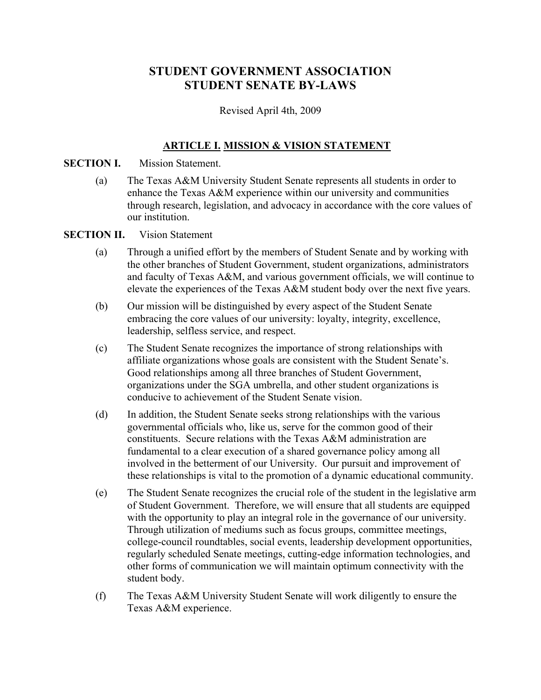# **STUDENT GOVERNMENT ASSOCIATION STUDENT SENATE BY-LAWS**

Revised April 4th, 2009

## **ARTICLE I. MISSION & VISION STATEMENT**

### **SECTION I.** Mission Statement.

(a) The Texas A&M University Student Senate represents all students in order to enhance the Texas A&M experience within our university and communities through research, legislation, and advocacy in accordance with the core values of our institution.

### **SECTION II.** Vision Statement

- (a) Through a unified effort by the members of Student Senate and by working with the other branches of Student Government, student organizations, administrators and faculty of Texas A&M, and various government officials, we will continue to elevate the experiences of the Texas A&M student body over the next five years.
- (b) Our mission will be distinguished by every aspect of the Student Senate embracing the core values of our university: loyalty, integrity, excellence, leadership, selfless service, and respect.
- (c) The Student Senate recognizes the importance of strong relationships with affiliate organizations whose goals are consistent with the Student Senate's. Good relationships among all three branches of Student Government, organizations under the SGA umbrella, and other student organizations is conducive to achievement of the Student Senate vision.
- (d) In addition, the Student Senate seeks strong relationships with the various governmental officials who, like us, serve for the common good of their constituents. Secure relations with the Texas A&M administration are fundamental to a clear execution of a shared governance policy among all involved in the betterment of our University. Our pursuit and improvement of these relationships is vital to the promotion of a dynamic educational community.
- (e) The Student Senate recognizes the crucial role of the student in the legislative arm of Student Government. Therefore, we will ensure that all students are equipped with the opportunity to play an integral role in the governance of our university. Through utilization of mediums such as focus groups, committee meetings, college-council roundtables, social events, leadership development opportunities, regularly scheduled Senate meetings, cutting-edge information technologies, and other forms of communication we will maintain optimum connectivity with the student body.
- (f) The Texas A&M University Student Senate will work diligently to ensure the Texas A&M experience.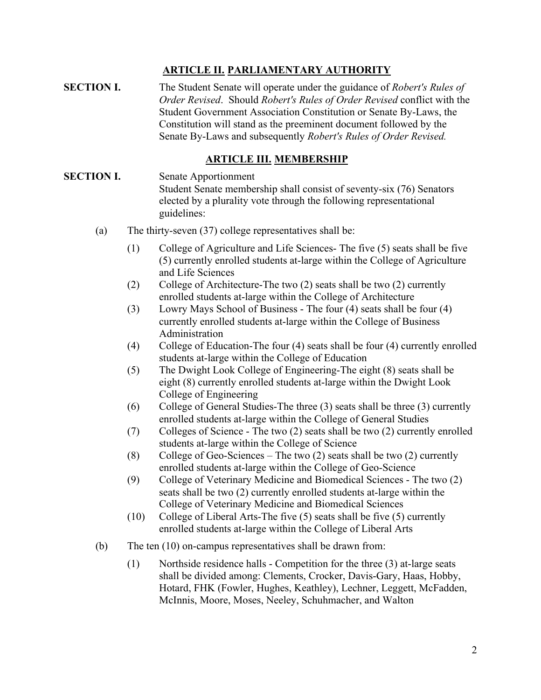## **ARTICLE II. PARLIAMENTARY AUTHORITY**

**SECTION I.** The Student Senate will operate under the guidance of *Robert's Rules of Order Revised*. Should *Robert's Rules of Order Revised* conflict with the Student Government Association Constitution or Senate By-Laws, the Constitution will stand as the preeminent document followed by the Senate By-Laws and subsequently *Robert's Rules of Order Revised.*

### **ARTICLE III. MEMBERSHIP**

## **SECTION I.** Senate Apportionment Student Senate membership shall consist of seventy-six (76) Senators elected by a plurality vote through the following representational guidelines:

- (a) The thirty-seven (37) college representatives shall be:
	- (1) College of Agriculture and Life Sciences- The five (5) seats shall be five (5) currently enrolled students at-large within the College of Agriculture and Life Sciences
	- (2) College of Architecture-The two (2) seats shall be two (2) currently enrolled students at-large within the College of Architecture
	- (3) Lowry Mays School of Business The four (4) seats shall be four (4) currently enrolled students at-large within the College of Business Administration
	- (4) College of Education-The four (4) seats shall be four (4) currently enrolled students at-large within the College of Education
	- (5) The Dwight Look College of Engineering-The eight (8) seats shall be eight (8) currently enrolled students at-large within the Dwight Look College of Engineering
	- (6) College of General Studies-The three (3) seats shall be three (3) currently enrolled students at-large within the College of General Studies
	- (7) Colleges of Science The two (2) seats shall be two (2) currently enrolled students at-large within the College of Science
	- (8) College of Geo-Sciences The two  $(2)$  seats shall be two  $(2)$  currently enrolled students at-large within the College of Geo-Science
	- (9) College of Veterinary Medicine and Biomedical Sciences The two (2) seats shall be two (2) currently enrolled students at-large within the College of Veterinary Medicine and Biomedical Sciences
	- (10) College of Liberal Arts-The five (5) seats shall be five (5) currently enrolled students at-large within the College of Liberal Arts
- (b) The ten (10) on-campus representatives shall be drawn from:
	- (1) Northside residence halls Competition for the three (3) at-large seats shall be divided among: Clements, Crocker, Davis-Gary, Haas, Hobby, Hotard, FHK (Fowler, Hughes, Keathley), Lechner, Leggett, McFadden, McInnis, Moore, Moses, Neeley, Schuhmacher, and Walton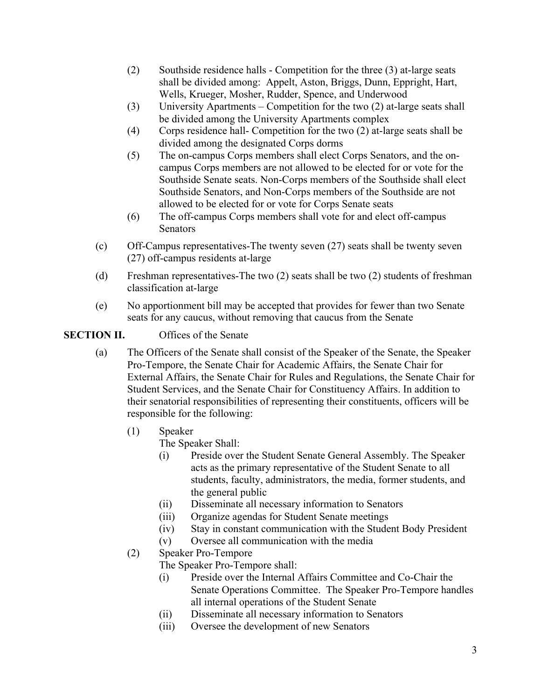- (2) Southside residence halls Competition for the three (3) at-large seats shall be divided among: Appelt, Aston, Briggs, Dunn, Eppright, Hart, Wells, Krueger, Mosher, Rudder, Spence, and Underwood
- (3) University Apartments Competition for the two (2) at-large seats shall be divided among the University Apartments complex
- (4) Corps residence hall- Competition for the two (2) at-large seats shall be divided among the designated Corps dorms
- (5) The on-campus Corps members shall elect Corps Senators, and the oncampus Corps members are not allowed to be elected for or vote for the Southside Senate seats. Non-Corps members of the Southside shall elect Southside Senators, and Non-Corps members of the Southside are not allowed to be elected for or vote for Corps Senate seats
- (6) The off-campus Corps members shall vote for and elect off-campus Senators
- (c) Off-Campus representatives-The twenty seven (27) seats shall be twenty seven (27) off-campus residents at-large
- (d) Freshman representatives-The two (2) seats shall be two (2) students of freshman classification at-large
- (e) No apportionment bill may be accepted that provides for fewer than two Senate seats for any caucus, without removing that caucus from the Senate

## **SECTION II.** Offices of the Senate

- (a) The Officers of the Senate shall consist of the Speaker of the Senate, the Speaker Pro-Tempore, the Senate Chair for Academic Affairs, the Senate Chair for External Affairs, the Senate Chair for Rules and Regulations, the Senate Chair for Student Services, and the Senate Chair for Constituency Affairs. In addition to their senatorial responsibilities of representing their constituents, officers will be responsible for the following:
	- (1) Speaker

The Speaker Shall:

- (i) Preside over the Student Senate General Assembly. The Speaker acts as the primary representative of the Student Senate to all students, faculty, administrators, the media, former students, and the general public
- (ii) Disseminate all necessary information to Senators
- (iii) Organize agendas for Student Senate meetings
- (iv) Stay in constant communication with the Student Body President
- (v) Oversee all communication with the media
- (2) Speaker Pro-Tempore
	- The Speaker Pro-Tempore shall:
		- (i) Preside over the Internal Affairs Committee and Co-Chair the Senate Operations Committee. The Speaker Pro-Tempore handles all internal operations of the Student Senate
		- (ii) Disseminate all necessary information to Senators
		- (iii) Oversee the development of new Senators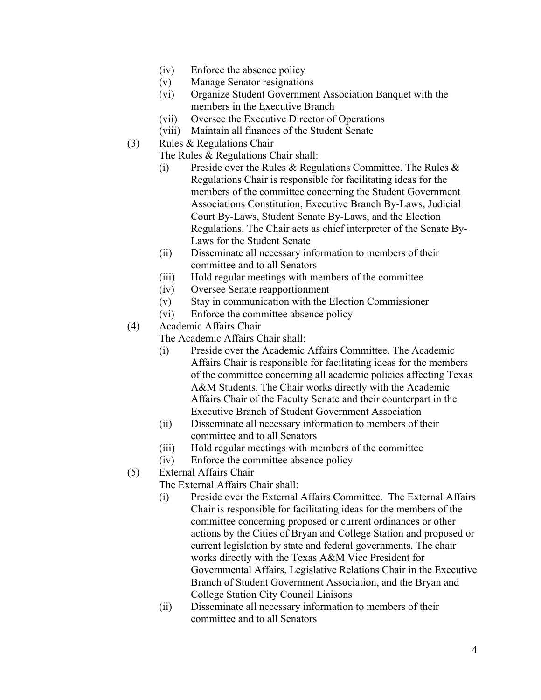- (iv) Enforce the absence policy
- (v) Manage Senator resignations
- (vi) Organize Student Government Association Banquet with the members in the Executive Branch
- (vii) Oversee the Executive Director of Operations
- (viii) Maintain all finances of the Student Senate
- (3) Rules & Regulations Chair
	- The Rules & Regulations Chair shall:
		- (i) Preside over the Rules & Regulations Committee. The Rules  $\&$ Regulations Chair is responsible for facilitating ideas for the members of the committee concerning the Student Government Associations Constitution, Executive Branch By-Laws, Judicial Court By-Laws, Student Senate By-Laws, and the Election Regulations. The Chair acts as chief interpreter of the Senate By-Laws for the Student Senate
		- (ii) Disseminate all necessary information to members of their committee and to all Senators
		- (iii) Hold regular meetings with members of the committee
		- (iv) Oversee Senate reapportionment
	- (v) Stay in communication with the Election Commissioner
	- (vi) Enforce the committee absence policy
- (4) Academic Affairs Chair

The Academic Affairs Chair shall:

- (i) Preside over the Academic Affairs Committee. The Academic Affairs Chair is responsible for facilitating ideas for the members of the committee concerning all academic policies affecting Texas A&M Students. The Chair works directly with the Academic Affairs Chair of the Faculty Senate and their counterpart in the Executive Branch of Student Government Association
- (ii) Disseminate all necessary information to members of their committee and to all Senators
- (iii) Hold regular meetings with members of the committee
- (iv) Enforce the committee absence policy
- (5) External Affairs Chair

The External Affairs Chair shall:

- (i) Preside over the External Affairs Committee. The External Affairs Chair is responsible for facilitating ideas for the members of the committee concerning proposed or current ordinances or other actions by the Cities of Bryan and College Station and proposed or current legislation by state and federal governments. The chair works directly with the Texas A&M Vice President for Governmental Affairs, Legislative Relations Chair in the Executive Branch of Student Government Association, and the Bryan and College Station City Council Liaisons
- (ii) Disseminate all necessary information to members of their committee and to all Senators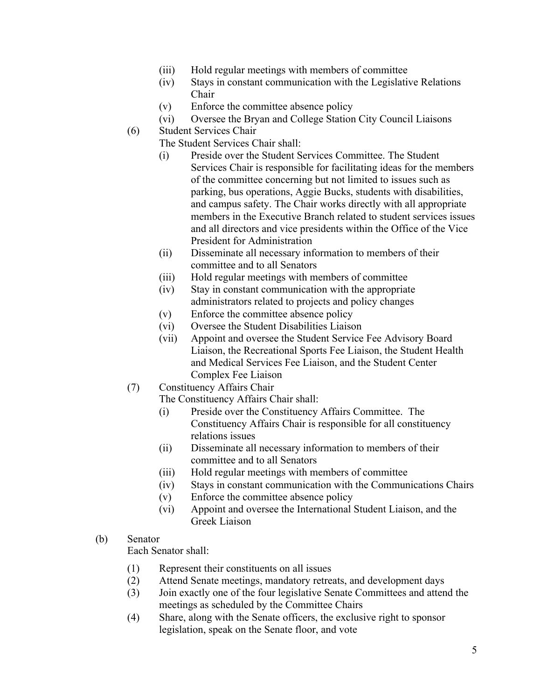- (iii) Hold regular meetings with members of committee
- (iv) Stays in constant communication with the Legislative Relations Chair
- (v) Enforce the committee absence policy
- (vi) Oversee the Bryan and College Station City Council Liaisons
- (6) Student Services Chair
	- The Student Services Chair shall:
		- (i) Preside over the Student Services Committee. The Student Services Chair is responsible for facilitating ideas for the members of the committee concerning but not limited to issues such as parking, bus operations, Aggie Bucks, students with disabilities, and campus safety. The Chair works directly with all appropriate members in the Executive Branch related to student services issues and all directors and vice presidents within the Office of the Vice President for Administration
		- (ii) Disseminate all necessary information to members of their committee and to all Senators
		- (iii) Hold regular meetings with members of committee
		- (iv) Stay in constant communication with the appropriate administrators related to projects and policy changes
		- (v) Enforce the committee absence policy
		- (vi) Oversee the Student Disabilities Liaison
		- (vii) Appoint and oversee the Student Service Fee Advisory Board Liaison, the Recreational Sports Fee Liaison, the Student Health and Medical Services Fee Liaison, and the Student Center Complex Fee Liaison
- (7) Constituency Affairs Chair

The Constituency Affairs Chair shall:

- (i) Preside over the Constituency Affairs Committee. The Constituency Affairs Chair is responsible for all constituency relations issues
- (ii) Disseminate all necessary information to members of their committee and to all Senators
- (iii) Hold regular meetings with members of committee
- (iv) Stays in constant communication with the Communications Chairs
- (v) Enforce the committee absence policy
- (vi) Appoint and oversee the International Student Liaison, and the Greek Liaison
- (b) Senator

Each Senator shall:

- (1) Represent their constituents on all issues
- (2) Attend Senate meetings, mandatory retreats, and development days
- (3) Join exactly one of the four legislative Senate Committees and attend the meetings as scheduled by the Committee Chairs
- (4) Share, along with the Senate officers, the exclusive right to sponsor legislation, speak on the Senate floor, and vote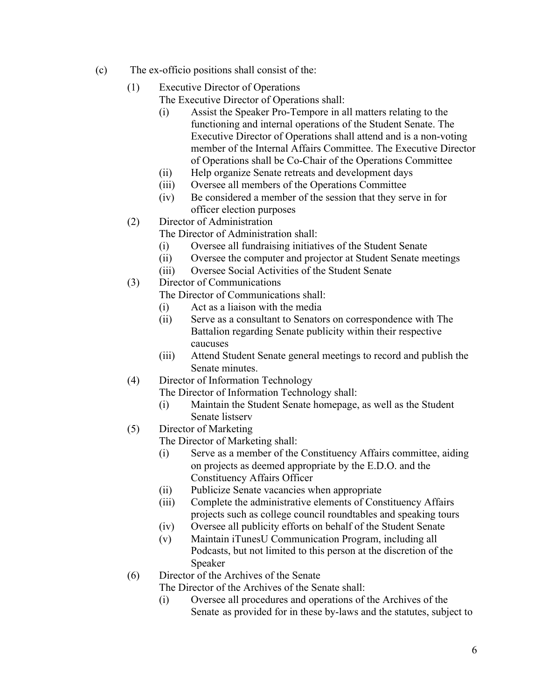- (c) The ex-officio positions shall consist of the:
	- (1) Executive Director of Operations
		- The Executive Director of Operations shall:
		- (i) Assist the Speaker Pro-Tempore in all matters relating to the functioning and internal operations of the Student Senate. The Executive Director of Operations shall attend and is a non-voting member of the Internal Affairs Committee. The Executive Director of Operations shall be Co-Chair of the Operations Committee
		- (ii) Help organize Senate retreats and development days
		- (iii) Oversee all members of the Operations Committee
		- (iv) Be considered a member of the session that they serve in for officer election purposes
	- (2) Director of Administration
		- The Director of Administration shall:
			- (i) Oversee all fundraising initiatives of the Student Senate
			- (ii) Oversee the computer and projector at Student Senate meetings
			- (iii) Oversee Social Activities of the Student Senate
	- (3) Director of Communications

The Director of Communications shall:

- (i) Act as a liaison with the media
- (ii) Serve as a consultant to Senators on correspondence with The Battalion regarding Senate publicity within their respective caucuses
- (iii) Attend Student Senate general meetings to record and publish the Senate minutes.
- (4) Director of Information Technology

The Director of Information Technology shall:

- (i) Maintain the Student Senate homepage, as well as the Student Senate listserv
- (5) Director of Marketing

The Director of Marketing shall:

- (i) Serve as a member of the Constituency Affairs committee, aiding on projects as deemed appropriate by the E.D.O. and the Constituency Affairs Officer
- (ii) Publicize Senate vacancies when appropriate
- (iii) Complete the administrative elements of Constituency Affairs projects such as college council roundtables and speaking tours
- (iv) Oversee all publicity efforts on behalf of the Student Senate
- (v) Maintain iTunesU Communication Program, including all Podcasts, but not limited to this person at the discretion of the Speaker
- (6) Director of the Archives of the Senate

The Director of the Archives of the Senate shall:

(i) Oversee all procedures and operations of the Archives of the Senate as provided for in these by-laws and the statutes, subject to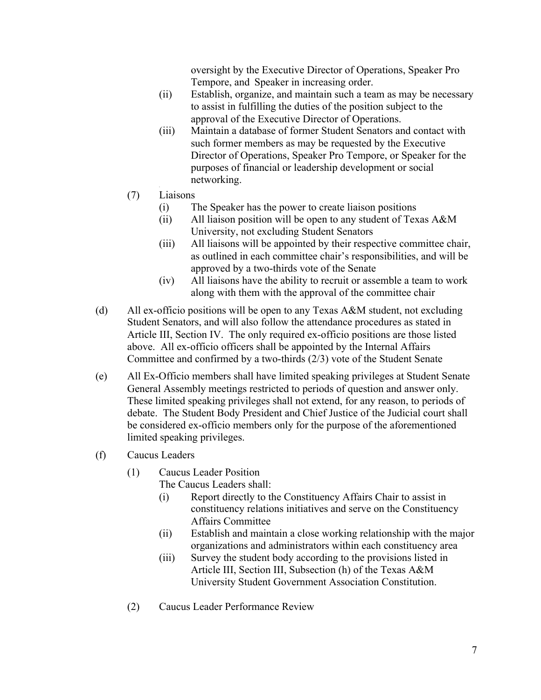oversight by the Executive Director of Operations, Speaker Pro Tempore, and Speaker in increasing order.

- (ii) Establish, organize, and maintain such a team as may be necessary to assist in fulfilling the duties of the position subject to the approval of the Executive Director of Operations.
- (iii) Maintain a database of former Student Senators and contact with such former members as may be requested by the Executive Director of Operations, Speaker Pro Tempore, or Speaker for the purposes of financial or leadership development or social networking.
- (7) Liaisons
	- (i) The Speaker has the power to create liaison positions
	- (ii) All liaison position will be open to any student of Texas A&M University, not excluding Student Senators
	- (iii) All liaisons will be appointed by their respective committee chair, as outlined in each committee chair's responsibilities, and will be approved by a two-thirds vote of the Senate
	- (iv) All liaisons have the ability to recruit or assemble a team to work along with them with the approval of the committee chair
- (d) All ex-officio positions will be open to any Texas A&M student, not excluding Student Senators, and will also follow the attendance procedures as stated in Article III, Section IV. The only required ex-officio positions are those listed above. All ex-officio officers shall be appointed by the Internal Affairs Committee and confirmed by a two-thirds (2/3) vote of the Student Senate
- (e) All Ex-Officio members shall have limited speaking privileges at Student Senate General Assembly meetings restricted to periods of question and answer only. These limited speaking privileges shall not extend, for any reason, to periods of debate. The Student Body President and Chief Justice of the Judicial court shall be considered ex-officio members only for the purpose of the aforementioned limited speaking privileges.
- (f) Caucus Leaders
	- (1) Caucus Leader Position

The Caucus Leaders shall:

- (i) Report directly to the Constituency Affairs Chair to assist in constituency relations initiatives and serve on the Constituency Affairs Committee
- (ii) Establish and maintain a close working relationship with the major organizations and administrators within each constituency area
- (iii) Survey the student body according to the provisions listed in Article III, Section III, Subsection (h) of the Texas A&M University Student Government Association Constitution.
- (2) Caucus Leader Performance Review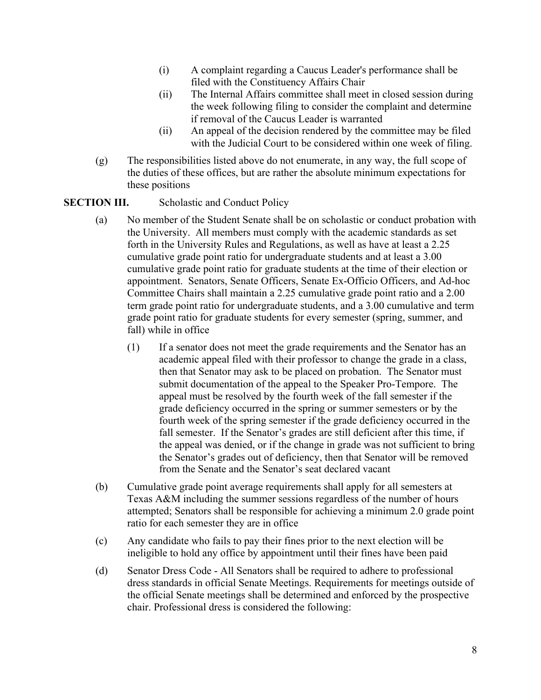- (i) A complaint regarding a Caucus Leader's performance shall be filed with the Constituency Affairs Chair
- (ii) The Internal Affairs committee shall meet in closed session during the week following filing to consider the complaint and determine if removal of the Caucus Leader is warranted
- (ii) An appeal of the decision rendered by the committee may be filed with the Judicial Court to be considered within one week of filing.
- (g) The responsibilities listed above do not enumerate, in any way, the full scope of the duties of these offices, but are rather the absolute minimum expectations for these positions

### **SECTION III.** Scholastic and Conduct Policy

- (a) No member of the Student Senate shall be on scholastic or conduct probation with the University. All members must comply with the academic standards as set forth in the University Rules and Regulations, as well as have at least a 2.25 cumulative grade point ratio for undergraduate students and at least a 3.00 cumulative grade point ratio for graduate students at the time of their election or appointment. Senators, Senate Officers, Senate Ex-Officio Officers, and Ad-hoc Committee Chairs shall maintain a 2.25 cumulative grade point ratio and a 2.00 term grade point ratio for undergraduate students, and a 3.00 cumulative and term grade point ratio for graduate students for every semester (spring, summer, and fall) while in office
	- (1) If a senator does not meet the grade requirements and the Senator has an academic appeal filed with their professor to change the grade in a class, then that Senator may ask to be placed on probation. The Senator must submit documentation of the appeal to the Speaker Pro-Tempore. The appeal must be resolved by the fourth week of the fall semester if the grade deficiency occurred in the spring or summer semesters or by the fourth week of the spring semester if the grade deficiency occurred in the fall semester. If the Senator's grades are still deficient after this time, if the appeal was denied, or if the change in grade was not sufficient to bring the Senator's grades out of deficiency, then that Senator will be removed from the Senate and the Senator's seat declared vacant
- (b) Cumulative grade point average requirements shall apply for all semesters at Texas A&M including the summer sessions regardless of the number of hours attempted; Senators shall be responsible for achieving a minimum 2.0 grade point ratio for each semester they are in office
- (c) Any candidate who fails to pay their fines prior to the next election will be ineligible to hold any office by appointment until their fines have been paid
- (d) Senator Dress Code All Senators shall be required to adhere to professional dress standards in official Senate Meetings. Requirements for meetings outside of the official Senate meetings shall be determined and enforced by the prospective chair. Professional dress is considered the following: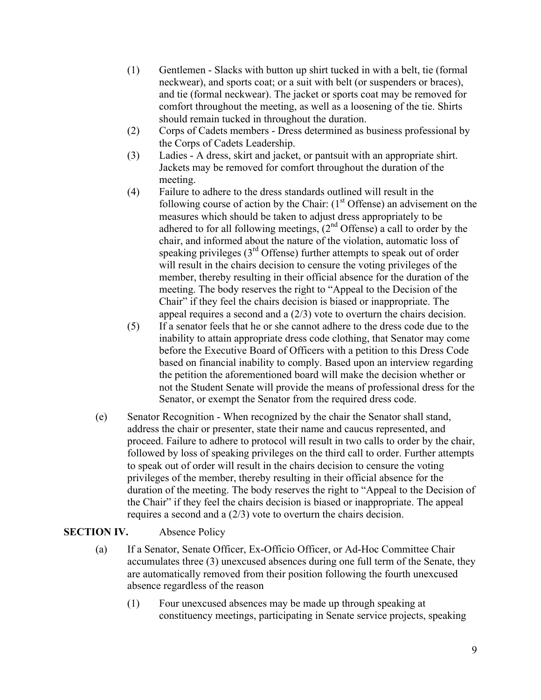- (1) Gentlemen Slacks with button up shirt tucked in with a belt, tie (formal neckwear), and sports coat; or a suit with belt (or suspenders or braces), and tie (formal neckwear). The jacket or sports coat may be removed for comfort throughout the meeting, as well as a loosening of the tie. Shirts should remain tucked in throughout the duration.
- (2) Corps of Cadets members Dress determined as business professional by the Corps of Cadets Leadership.
- (3) Ladies A dress, skirt and jacket, or pantsuit with an appropriate shirt. Jackets may be removed for comfort throughout the duration of the meeting.
- (4) Failure to adhere to the dress standards outlined will result in the following course of action by the Chair:  $(1<sup>st</sup>$  Offense) an advisement on the measures which should be taken to adjust dress appropriately to be adhered to for all following meetings,  $(2<sup>nd</sup>$  Offense) a call to order by the chair, and informed about the nature of the violation, automatic loss of speaking privileges (3<sup>rd</sup> Offense) further attempts to speak out of order will result in the chairs decision to censure the voting privileges of the member, thereby resulting in their official absence for the duration of the meeting. The body reserves the right to "Appeal to the Decision of the Chair" if they feel the chairs decision is biased or inappropriate. The appeal requires a second and a (2/3) vote to overturn the chairs decision.
- (5) If a senator feels that he or she cannot adhere to the dress code due to the inability to attain appropriate dress code clothing, that Senator may come before the Executive Board of Officers with a petition to this Dress Code based on financial inability to comply. Based upon an interview regarding the petition the aforementioned board will make the decision whether or not the Student Senate will provide the means of professional dress for the Senator, or exempt the Senator from the required dress code.
- (e) Senator Recognition When recognized by the chair the Senator shall stand, address the chair or presenter, state their name and caucus represented, and proceed. Failure to adhere to protocol will result in two calls to order by the chair, followed by loss of speaking privileges on the third call to order. Further attempts to speak out of order will result in the chairs decision to censure the voting privileges of the member, thereby resulting in their official absence for the duration of the meeting. The body reserves the right to "Appeal to the Decision of the Chair" if they feel the chairs decision is biased or inappropriate. The appeal requires a second and a (2/3) vote to overturn the chairs decision.

## **SECTION IV.** Absence Policy

- (a) If a Senator, Senate Officer, Ex-Officio Officer, or Ad-Hoc Committee Chair accumulates three (3) unexcused absences during one full term of the Senate, they are automatically removed from their position following the fourth unexcused absence regardless of the reason
	- (1) Four unexcused absences may be made up through speaking at constituency meetings, participating in Senate service projects, speaking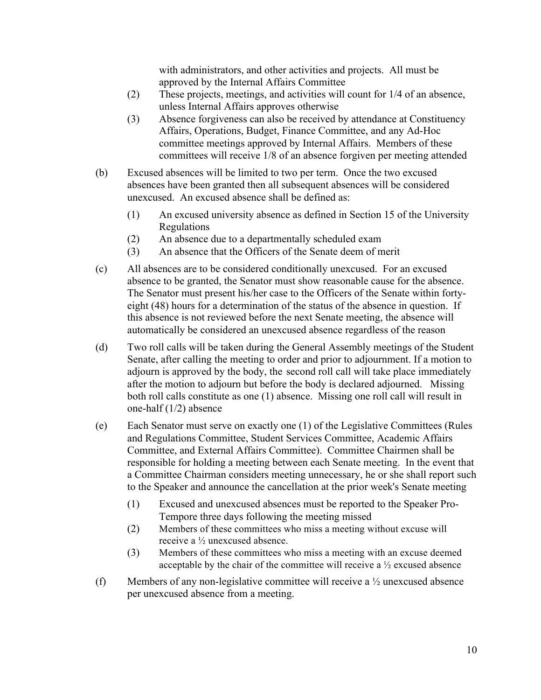with administrators, and other activities and projects. All must be approved by the Internal Affairs Committee

- (2) These projects, meetings, and activities will count for 1/4 of an absence, unless Internal Affairs approves otherwise
- (3) Absence forgiveness can also be received by attendance at Constituency Affairs, Operations, Budget, Finance Committee, and any Ad-Hoc committee meetings approved by Internal Affairs. Members of these committees will receive 1/8 of an absence forgiven per meeting attended
- (b) Excused absences will be limited to two per term. Once the two excused absences have been granted then all subsequent absences will be considered unexcused. An excused absence shall be defined as:
	- (1) An excused university absence as defined in Section 15 of the University Regulations
	- (2) An absence due to a departmentally scheduled exam
	- (3) An absence that the Officers of the Senate deem of merit
- (c) All absences are to be considered conditionally unexcused. For an excused absence to be granted, the Senator must show reasonable cause for the absence. The Senator must present his/her case to the Officers of the Senate within fortyeight (48) hours for a determination of the status of the absence in question. If this absence is not reviewed before the next Senate meeting, the absence will automatically be considered an unexcused absence regardless of the reason
- (d) Two roll calls will be taken during the General Assembly meetings of the Student Senate, after calling the meeting to order and prior to adjournment. If a motion to adjourn is approved by the body, the second roll call will take place immediately after the motion to adjourn but before the body is declared adjourned. Missing both roll calls constitute as one (1) absence. Missing one roll call will result in one-half (1/2) absence
- (e) Each Senator must serve on exactly one (1) of the Legislative Committees (Rules and Regulations Committee, Student Services Committee, Academic Affairs Committee, and External Affairs Committee). Committee Chairmen shall be responsible for holding a meeting between each Senate meeting. In the event that a Committee Chairman considers meeting unnecessary, he or she shall report such to the Speaker and announce the cancellation at the prior week's Senate meeting
	- (1) Excused and unexcused absences must be reported to the Speaker Pro-Tempore three days following the meeting missed
	- (2) Members of these committees who miss a meeting without excuse will receive a ½ unexcused absence.
	- (3) Members of these committees who miss a meeting with an excuse deemed acceptable by the chair of the committee will receive a ½ excused absence
- (f) Members of any non-legislative committee will receive a ½ unexcused absence per unexcused absence from a meeting.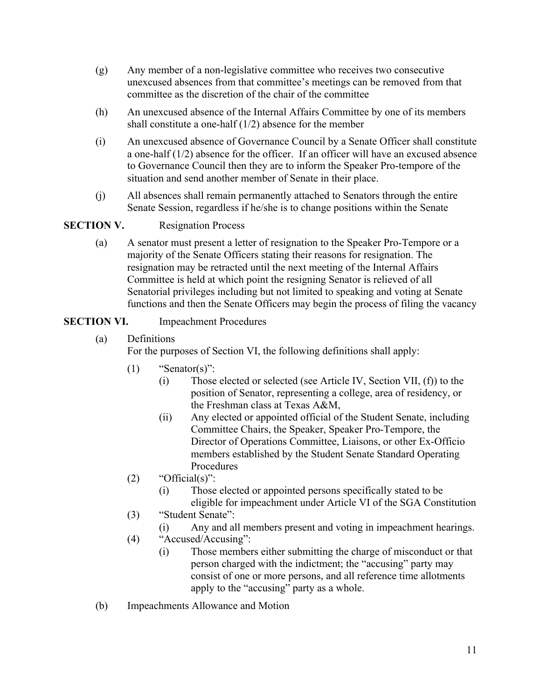- (g) Any member of a non-legislative committee who receives two consecutive unexcused absences from that committee's meetings can be removed from that committee as the discretion of the chair of the committee
- (h) An unexcused absence of the Internal Affairs Committee by one of its members shall constitute a one-half (1/2) absence for the member
- (i) An unexcused absence of Governance Council by a Senate Officer shall constitute a one-half (1/2) absence for the officer. If an officer will have an excused absence to Governance Council then they are to inform the Speaker Pro-tempore of the situation and send another member of Senate in their place.
- (j) All absences shall remain permanently attached to Senators through the entire Senate Session, regardless if he/she is to change positions within the Senate

## **SECTION V.** Resignation Process

(a) A senator must present a letter of resignation to the Speaker Pro-Tempore or a majority of the Senate Officers stating their reasons for resignation. The resignation may be retracted until the next meeting of the Internal Affairs Committee is held at which point the resigning Senator is relieved of all Senatorial privileges including but not limited to speaking and voting at Senate functions and then the Senate Officers may begin the process of filing the vacancy

## **SECTION VI.** Impeachment Procedures

(a) Definitions

For the purposes of Section VI, the following definitions shall apply:

- $(1)$  "Senator(s)":
	- (i) Those elected or selected (see Article IV, Section VII, (f)) to the position of Senator, representing a college, area of residency, or the Freshman class at Texas A&M,
	- (ii) Any elected or appointed official of the Student Senate, including Committee Chairs, the Speaker, Speaker Pro-Tempore, the Director of Operations Committee, Liaisons, or other Ex-Officio members established by the Student Senate Standard Operating Procedures
- (2) "Official(s)":
	- (i) Those elected or appointed persons specifically stated to be eligible for impeachment under Article VI of the SGA Constitution
- (3) "Student Senate":
	- (i) Any and all members present and voting in impeachment hearings.
- (4) "Accused/Accusing":
	- (i) Those members either submitting the charge of misconduct or that person charged with the indictment; the "accusing" party may consist of one or more persons, and all reference time allotments apply to the "accusing" party as a whole.
- (b) Impeachments Allowance and Motion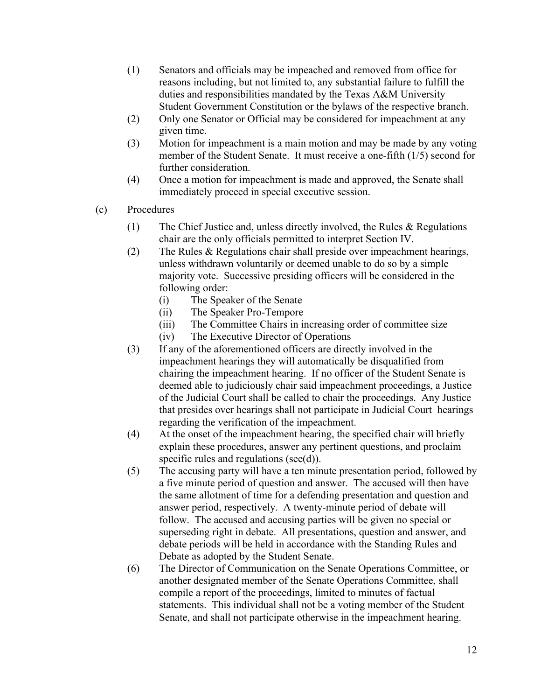- (1) Senators and officials may be impeached and removed from office for reasons including, but not limited to, any substantial failure to fulfill the duties and responsibilities mandated by the Texas A&M University Student Government Constitution or the bylaws of the respective branch.
- (2) Only one Senator or Official may be considered for impeachment at any given time.
- (3) Motion for impeachment is a main motion and may be made by any voting member of the Student Senate. It must receive a one-fifth (1/5) second for further consideration.
- (4) Once a motion for impeachment is made and approved, the Senate shall immediately proceed in special executive session.
- (c) Procedures
	- (1) The Chief Justice and, unless directly involved, the Rules & Regulations chair are the only officials permitted to interpret Section IV.
	- (2) The Rules & Regulations chair shall preside over impeachment hearings, unless withdrawn voluntarily or deemed unable to do so by a simple majority vote. Successive presiding officers will be considered in the following order:
		- (i) The Speaker of the Senate
		- (ii) The Speaker Pro-Tempore
		- (iii) The Committee Chairs in increasing order of committee size
		- (iv) The Executive Director of Operations
	- (3) If any of the aforementioned officers are directly involved in the impeachment hearings they will automatically be disqualified from chairing the impeachment hearing. If no officer of the Student Senate is deemed able to judiciously chair said impeachment proceedings, a Justice of the Judicial Court shall be called to chair the proceedings. Any Justice that presides over hearings shall not participate in Judicial Court hearings regarding the verification of the impeachment.
	- (4) At the onset of the impeachment hearing, the specified chair will briefly explain these procedures, answer any pertinent questions, and proclaim specific rules and regulations (see(d)).
	- (5) The accusing party will have a ten minute presentation period, followed by a five minute period of question and answer. The accused will then have the same allotment of time for a defending presentation and question and answer period, respectively. A twenty-minute period of debate will follow. The accused and accusing parties will be given no special or superseding right in debate. All presentations, question and answer, and debate periods will be held in accordance with the Standing Rules and Debate as adopted by the Student Senate.
	- (6) The Director of Communication on the Senate Operations Committee, or another designated member of the Senate Operations Committee, shall compile a report of the proceedings, limited to minutes of factual statements. This individual shall not be a voting member of the Student Senate, and shall not participate otherwise in the impeachment hearing.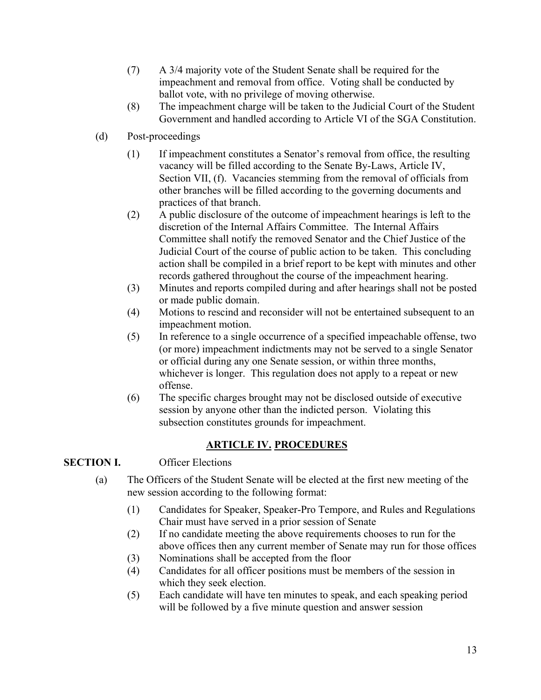- (7) A 3/4 majority vote of the Student Senate shall be required for the impeachment and removal from office. Voting shall be conducted by ballot vote, with no privilege of moving otherwise.
- (8) The impeachment charge will be taken to the Judicial Court of the Student Government and handled according to Article VI of the SGA Constitution.
- (d) Post-proceedings
	- (1) If impeachment constitutes a Senator's removal from office, the resulting vacancy will be filled according to the Senate By-Laws, Article IV, Section VII, (f). Vacancies stemming from the removal of officials from other branches will be filled according to the governing documents and practices of that branch.
	- (2) A public disclosure of the outcome of impeachment hearings is left to the discretion of the Internal Affairs Committee. The Internal Affairs Committee shall notify the removed Senator and the Chief Justice of the Judicial Court of the course of public action to be taken. This concluding action shall be compiled in a brief report to be kept with minutes and other records gathered throughout the course of the impeachment hearing.
	- (3) Minutes and reports compiled during and after hearings shall not be posted or made public domain.
	- (4) Motions to rescind and reconsider will not be entertained subsequent to an impeachment motion.
	- (5) In reference to a single occurrence of a specified impeachable offense, two (or more) impeachment indictments may not be served to a single Senator or official during any one Senate session, or within three months, whichever is longer. This regulation does not apply to a repeat or new offense.
	- (6) The specific charges brought may not be disclosed outside of executive session by anyone other than the indicted person. Violating this subsection constitutes grounds for impeachment.

# **ARTICLE IV. PROCEDURES**

## **SECTION I.** Officer Elections

- (a) The Officers of the Student Senate will be elected at the first new meeting of the new session according to the following format:
	- (1) Candidates for Speaker, Speaker-Pro Tempore, and Rules and Regulations Chair must have served in a prior session of Senate
	- (2) If no candidate meeting the above requirements chooses to run for the above offices then any current member of Senate may run for those offices
	- (3) Nominations shall be accepted from the floor
	- (4) Candidates for all officer positions must be members of the session in which they seek election.
	- (5) Each candidate will have ten minutes to speak, and each speaking period will be followed by a five minute question and answer session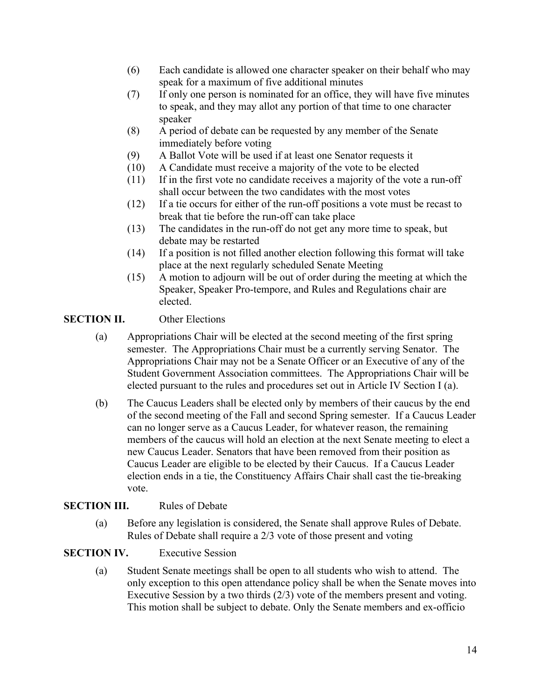- (6) Each candidate is allowed one character speaker on their behalf who may speak for a maximum of five additional minutes
- (7) If only one person is nominated for an office, they will have five minutes to speak, and they may allot any portion of that time to one character speaker
- (8) A period of debate can be requested by any member of the Senate immediately before voting
- (9) A Ballot Vote will be used if at least one Senator requests it
- (10) A Candidate must receive a majority of the vote to be elected
- (11) If in the first vote no candidate receives a majority of the vote a run-off shall occur between the two candidates with the most votes
- (12) If a tie occurs for either of the run-off positions a vote must be recast to break that tie before the run-off can take place
- (13) The candidates in the run-off do not get any more time to speak, but debate may be restarted
- (14) If a position is not filled another election following this format will take place at the next regularly scheduled Senate Meeting
- (15) A motion to adjourn will be out of order during the meeting at which the Speaker, Speaker Pro-tempore, and Rules and Regulations chair are elected.

### **SECTION II.** Other Elections

- (a) Appropriations Chair will be elected at the second meeting of the first spring semester. The Appropriations Chair must be a currently serving Senator. The Appropriations Chair may not be a Senate Officer or an Executive of any of the Student Government Association committees. The Appropriations Chair will be elected pursuant to the rules and procedures set out in Article IV Section I (a).
- (b) The Caucus Leaders shall be elected only by members of their caucus by the end of the second meeting of the Fall and second Spring semester. If a Caucus Leader can no longer serve as a Caucus Leader, for whatever reason, the remaining members of the caucus will hold an election at the next Senate meeting to elect a new Caucus Leader. Senators that have been removed from their position as Caucus Leader are eligible to be elected by their Caucus. If a Caucus Leader election ends in a tie, the Constituency Affairs Chair shall cast the tie-breaking vote.

#### **SECTION III.** Rules of Debate

(a) Before any legislation is considered, the Senate shall approve Rules of Debate. Rules of Debate shall require a 2/3 vote of those present and voting

### **SECTION IV.** Executive Session

(a) Student Senate meetings shall be open to all students who wish to attend. The only exception to this open attendance policy shall be when the Senate moves into Executive Session by a two thirds (2/3) vote of the members present and voting. This motion shall be subject to debate. Only the Senate members and ex-officio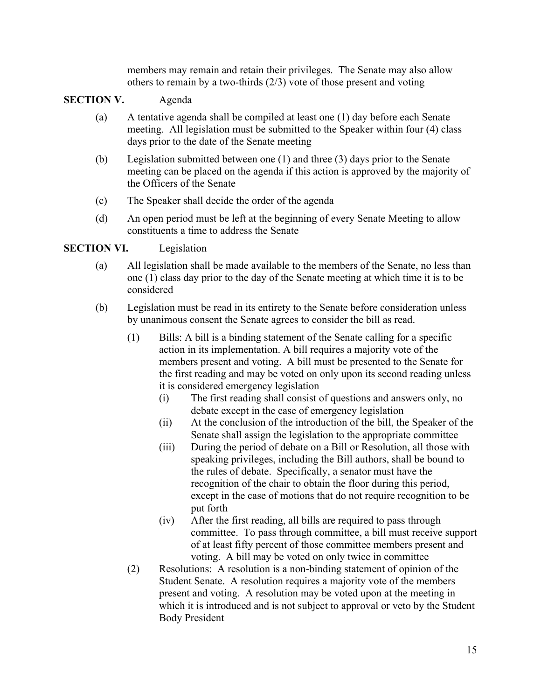members may remain and retain their privileges. The Senate may also allow others to remain by a two-thirds (2/3) vote of those present and voting

## **SECTION V.** Agenda

- (a) A tentative agenda shall be compiled at least one (1) day before each Senate meeting. All legislation must be submitted to the Speaker within four (4) class days prior to the date of the Senate meeting
- (b) Legislation submitted between one (1) and three (3) days prior to the Senate meeting can be placed on the agenda if this action is approved by the majority of the Officers of the Senate
- (c) The Speaker shall decide the order of the agenda
- (d) An open period must be left at the beginning of every Senate Meeting to allow constituents a time to address the Senate

### **SECTION VI.** Legislation

- (a) All legislation shall be made available to the members of the Senate, no less than one (1) class day prior to the day of the Senate meeting at which time it is to be considered
- (b) Legislation must be read in its entirety to the Senate before consideration unless by unanimous consent the Senate agrees to consider the bill as read.
	- (1) Bills: A bill is a binding statement of the Senate calling for a specific action in its implementation. A bill requires a majority vote of the members present and voting. A bill must be presented to the Senate for the first reading and may be voted on only upon its second reading unless it is considered emergency legislation
		- (i) The first reading shall consist of questions and answers only, no debate except in the case of emergency legislation
		- (ii) At the conclusion of the introduction of the bill, the Speaker of the Senate shall assign the legislation to the appropriate committee
		- (iii) During the period of debate on a Bill or Resolution, all those with speaking privileges, including the Bill authors, shall be bound to the rules of debate. Specifically, a senator must have the recognition of the chair to obtain the floor during this period, except in the case of motions that do not require recognition to be put forth
		- (iv) After the first reading, all bills are required to pass through committee. To pass through committee, a bill must receive support of at least fifty percent of those committee members present and voting. A bill may be voted on only twice in committee
	- (2) Resolutions: A resolution is a non-binding statement of opinion of the Student Senate. A resolution requires a majority vote of the members present and voting. A resolution may be voted upon at the meeting in which it is introduced and is not subject to approval or veto by the Student Body President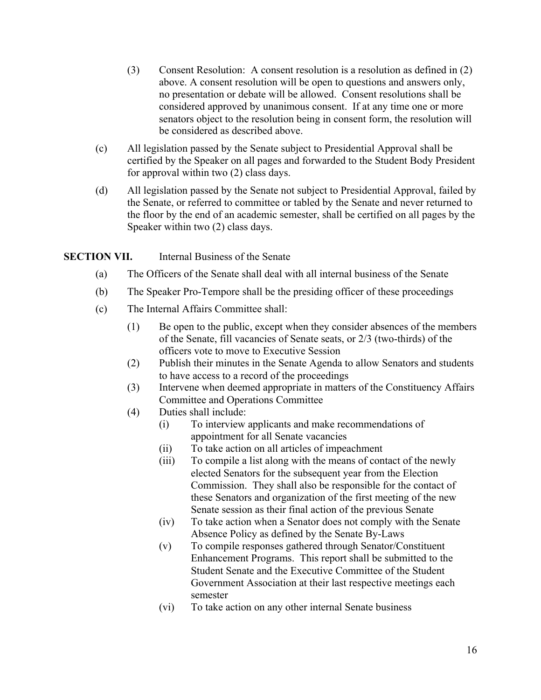- (3) Consent Resolution: A consent resolution is a resolution as defined in (2) above. A consent resolution will be open to questions and answers only, no presentation or debate will be allowed. Consent resolutions shall be considered approved by unanimous consent. If at any time one or more senators object to the resolution being in consent form, the resolution will be considered as described above.
- (c) All legislation passed by the Senate subject to Presidential Approval shall be certified by the Speaker on all pages and forwarded to the Student Body President for approval within two (2) class days.
- (d) All legislation passed by the Senate not subject to Presidential Approval, failed by the Senate, or referred to committee or tabled by the Senate and never returned to the floor by the end of an academic semester, shall be certified on all pages by the Speaker within two (2) class days.

## **SECTION VII.** Internal Business of the Senate

- (a) The Officers of the Senate shall deal with all internal business of the Senate
- (b) The Speaker Pro-Tempore shall be the presiding officer of these proceedings
- (c) The Internal Affairs Committee shall:
	- (1) Be open to the public, except when they consider absences of the members of the Senate, fill vacancies of Senate seats, or 2/3 (two-thirds) of the officers vote to move to Executive Session
	- (2) Publish their minutes in the Senate Agenda to allow Senators and students to have access to a record of the proceedings
	- (3) Intervene when deemed appropriate in matters of the Constituency Affairs Committee and Operations Committee
	- (4) Duties shall include:
		- (i) To interview applicants and make recommendations of appointment for all Senate vacancies
		- (ii) To take action on all articles of impeachment
		- (iii) To compile a list along with the means of contact of the newly elected Senators for the subsequent year from the Election Commission. They shall also be responsible for the contact of these Senators and organization of the first meeting of the new Senate session as their final action of the previous Senate
		- (iv) To take action when a Senator does not comply with the Senate Absence Policy as defined by the Senate By-Laws
		- (v) To compile responses gathered through Senator/Constituent Enhancement Programs. This report shall be submitted to the Student Senate and the Executive Committee of the Student Government Association at their last respective meetings each semester
		- (vi) To take action on any other internal Senate business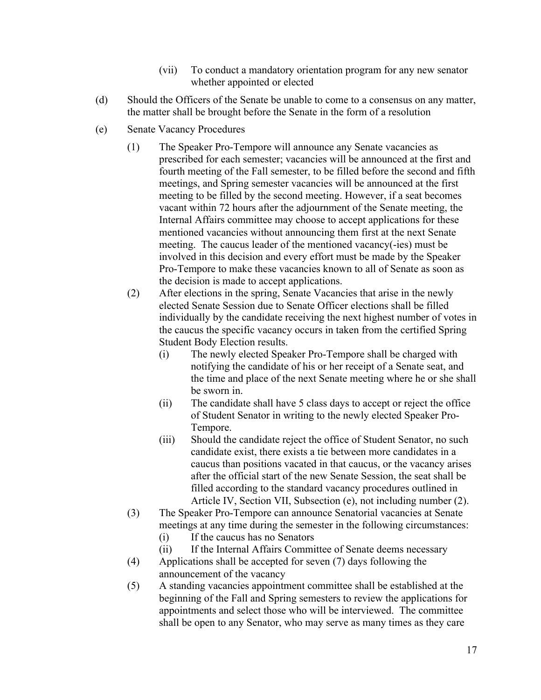- (vii) To conduct a mandatory orientation program for any new senator whether appointed or elected
- (d) Should the Officers of the Senate be unable to come to a consensus on any matter, the matter shall be brought before the Senate in the form of a resolution
- (e) Senate Vacancy Procedures
	- (1) The Speaker Pro-Tempore will announce any Senate vacancies as prescribed for each semester; vacancies will be announced at the first and fourth meeting of the Fall semester, to be filled before the second and fifth meetings, and Spring semester vacancies will be announced at the first meeting to be filled by the second meeting. However, if a seat becomes vacant within 72 hours after the adjournment of the Senate meeting, the Internal Affairs committee may choose to accept applications for these mentioned vacancies without announcing them first at the next Senate meeting. The caucus leader of the mentioned vacancy(-ies) must be involved in this decision and every effort must be made by the Speaker Pro-Tempore to make these vacancies known to all of Senate as soon as the decision is made to accept applications.
	- (2) After elections in the spring, Senate Vacancies that arise in the newly elected Senate Session due to Senate Officer elections shall be filled individually by the candidate receiving the next highest number of votes in the caucus the specific vacancy occurs in taken from the certified Spring Student Body Election results.
		- (i) The newly elected Speaker Pro-Tempore shall be charged with notifying the candidate of his or her receipt of a Senate seat, and the time and place of the next Senate meeting where he or she shall be sworn in.
		- (ii) The candidate shall have 5 class days to accept or reject the office of Student Senator in writing to the newly elected Speaker Pro-Tempore.
		- (iii) Should the candidate reject the office of Student Senator, no such candidate exist, there exists a tie between more candidates in a caucus than positions vacated in that caucus, or the vacancy arises after the official start of the new Senate Session, the seat shall be filled according to the standard vacancy procedures outlined in Article IV, Section VII, Subsection (e), not including number (2).
	- (3) The Speaker Pro-Tempore can announce Senatorial vacancies at Senate meetings at any time during the semester in the following circumstances:
		- (i) If the caucus has no Senators
		- (ii) If the Internal Affairs Committee of Senate deems necessary
	- (4) Applications shall be accepted for seven (7) days following the announcement of the vacancy
	- (5) A standing vacancies appointment committee shall be established at the beginning of the Fall and Spring semesters to review the applications for appointments and select those who will be interviewed. The committee shall be open to any Senator, who may serve as many times as they care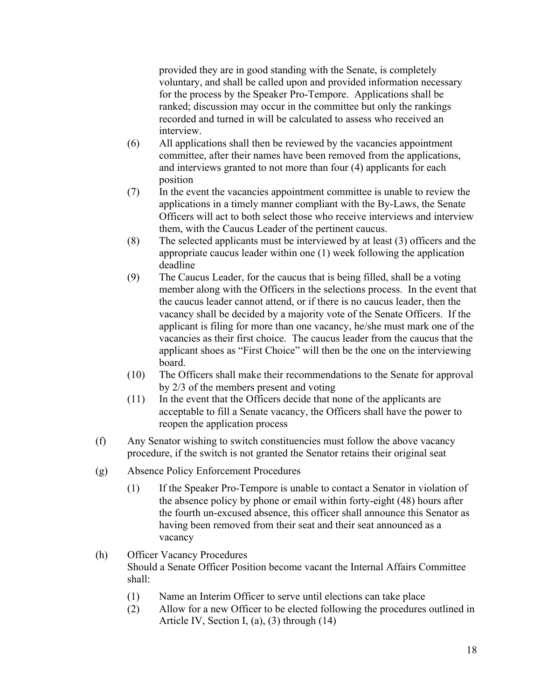provided they are in good standing with the Senate, is completely voluntary, and shall be called upon and provided information necessary for the process by the Speaker Pro-Tempore. Applications shall be ranked; discussion may occur in the committee but only the rankings recorded and turned in will be calculated to assess who received an interview.

- (6) All applications shall then be reviewed by the vacancies appointment committee, after their names have been removed from the applications, and interviews granted to not more than four (4) applicants for each position
- (7) In the event the vacancies appointment committee is unable to review the applications in a timely manner compliant with the By-Laws, the Senate Officers will act to both select those who receive interviews and interview them, with the Caucus Leader of the pertinent caucus.
- (8) The selected applicants must be interviewed by at least (3) officers and the appropriate caucus leader within one (1) week following the application deadline
- (9) The Caucus Leader, for the caucus that is being filled, shall be a voting member along with the Officers in the selections process. In the event that the caucus leader cannot attend, or if there is no caucus leader, then the vacancy shall be decided by a majority vote of the Senate Officers. If the applicant is filing for more than one vacancy, he/she must mark one of the vacancies as their first choice. The caucus leader from the caucus that the applicant shoes as "First Choice" will then be the one on the interviewing board.
- (10) The Officers shall make their recommendations to the Senate for approval by 2/3 of the members present and voting
- (11) In the event that the Officers decide that none of the applicants are acceptable to fill a Senate vacancy, the Officers shall have the power to reopen the application process
- (f) Any Senator wishing to switch constituencies must follow the above vacancy procedure, if the switch is not granted the Senator retains their original seat
- (g) Absence Policy Enforcement Procedures
	- (1) If the Speaker Pro-Tempore is unable to contact a Senator in violation of the absence policy by phone or email within forty-eight (48) hours after the fourth un-excused absence, this officer shall announce this Senator as having been removed from their seat and their seat announced as a vacancy

#### (h) Officer Vacancy Procedures Should a Senate Officer Position become vacant the Internal Affairs Committee shall:

- (1) Name an Interim Officer to serve until elections can take place
- (2) Allow for a new Officer to be elected following the procedures outlined in Article IV, Section I, (a), (3) through (14)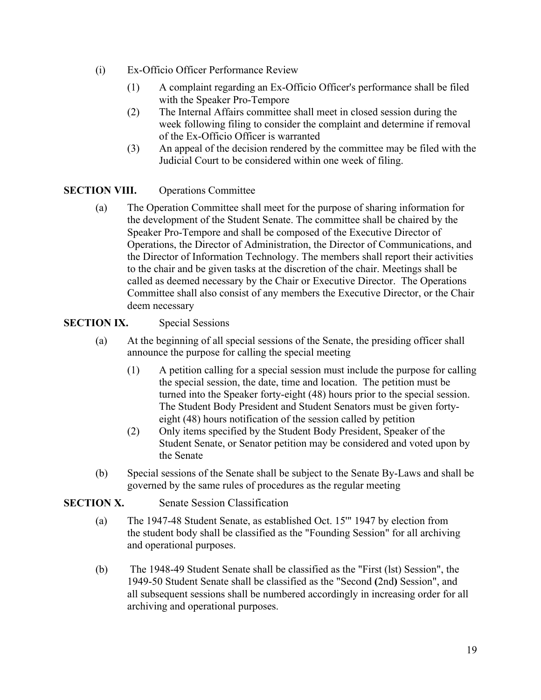- (i) Ex-Officio Officer Performance Review
	- (1) A complaint regarding an Ex-Officio Officer's performance shall be filed with the Speaker Pro-Tempore
	- (2) The Internal Affairs committee shall meet in closed session during the week following filing to consider the complaint and determine if removal of the Ex-Officio Officer is warranted
	- (3) An appeal of the decision rendered by the committee may be filed with the Judicial Court to be considered within one week of filing.

## **SECTION VIII.** Operations Committee

(a) The Operation Committee shall meet for the purpose of sharing information for the development of the Student Senate. The committee shall be chaired by the Speaker Pro-Tempore and shall be composed of the Executive Director of Operations, the Director of Administration, the Director of Communications, and the Director of Information Technology. The members shall report their activities to the chair and be given tasks at the discretion of the chair. Meetings shall be called as deemed necessary by the Chair or Executive Director. The Operations Committee shall also consist of any members the Executive Director, or the Chair deem necessary

## **SECTION IX.** Special Sessions

- (a) At the beginning of all special sessions of the Senate, the presiding officer shall announce the purpose for calling the special meeting
	- (1) A petition calling for a special session must include the purpose for calling the special session, the date, time and location. The petition must be turned into the Speaker forty-eight (48) hours prior to the special session. The Student Body President and Student Senators must be given fortyeight (48) hours notification of the session called by petition
	- (2) Only items specified by the Student Body President, Speaker of the Student Senate, or Senator petition may be considered and voted upon by the Senate
- (b) Special sessions of the Senate shall be subject to the Senate By-Laws and shall be governed by the same rules of procedures as the regular meeting

## **SECTION X.** Senate Session Classification

- (a) The 1947-48 Student Senate, as established Oct. 15'" 1947 by election from the student body shall be classified as the "Founding Session" for all archiving and operational purposes.
- (b) The 1948-49 Student Senate shall be classified as the "First (lst) Session", the 1949-50 Student Senate shall be classified as the "Second **(**2nd**)** Session", and all subsequent sessions shall be numbered accordingly in increasing order for all archiving and operational purposes.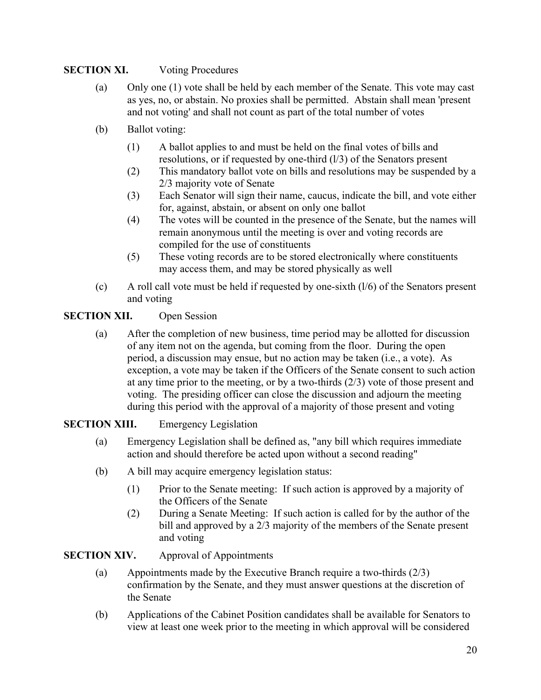## **SECTION XI.** Voting Procedures

- (a) Only one (1) vote shall be held by each member of the Senate. This vote may cast as yes, no, or abstain. No proxies shall be permitted. Abstain shall mean 'present and not voting' and shall not count as part of the total number of votes
- (b) Ballot voting:
	- (1) A ballot applies to and must be held on the final votes of bills and resolutions, or if requested by one-third (l/3) of the Senators present
	- (2) This mandatory ballot vote on bills and resolutions may be suspended by a 2/3 majority vote of Senate
	- (3) Each Senator will sign their name, caucus, indicate the bill, and vote either for, against, abstain, or absent on only one ballot
	- (4) The votes will be counted in the presence of the Senate, but the names will remain anonymous until the meeting is over and voting records are compiled for the use of constituents
	- (5) These voting records are to be stored electronically where constituents may access them, and may be stored physically as well
- (c) A roll call vote must be held if requested by one-sixth (l/6) of the Senators present and voting

## **SECTION XII.** Open Session

(a) After the completion of new business, time period may be allotted for discussion of any item not on the agenda, but coming from the floor. During the open period, a discussion may ensue, but no action may be taken (i.e., a vote). As exception, a vote may be taken if the Officers of the Senate consent to such action at any time prior to the meeting, or by a two-thirds (2/3) vote of those present and voting. The presiding officer can close the discussion and adjourn the meeting during this period with the approval of a majority of those present and voting

### **SECTION XIII.** Emergency Legislation

- (a) Emergency Legislation shall be defined as, "any bill which requires immediate action and should therefore be acted upon without a second reading"
- (b) A bill may acquire emergency legislation status:
	- (1) Prior to the Senate meeting: If such action is approved by a majority of the Officers of the Senate
	- (2) During a Senate Meeting: If such action is called for by the author of the bill and approved by a 2/3 majority of the members of the Senate present and voting

### **SECTION XIV.** Approval of Appointments

- (a) Appointments made by the Executive Branch require a two-thirds (2/3) confirmation by the Senate, and they must answer questions at the discretion of the Senate
- (b) Applications of the Cabinet Position candidates shall be available for Senators to view at least one week prior to the meeting in which approval will be considered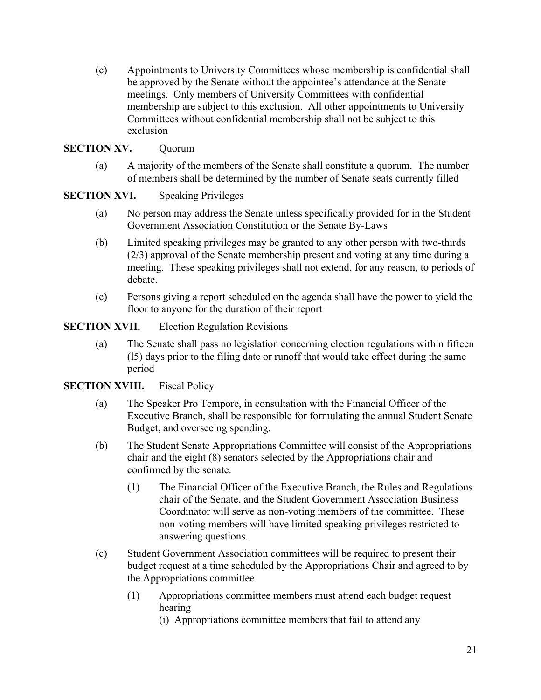(c) Appointments to University Committees whose membership is confidential shall be approved by the Senate without the appointee's attendance at the Senate meetings. Only members of University Committees with confidential membership are subject to this exclusion. All other appointments to University Committees without confidential membership shall not be subject to this exclusion

### **SECTION XV.** Ouorum

(a) A majority of the members of the Senate shall constitute a quorum. The number of members shall be determined by the number of Senate seats currently filled

**SECTION XVI.** Speaking Privileges

- (a) No person may address the Senate unless specifically provided for in the Student Government Association Constitution or the Senate By-Laws
- (b) Limited speaking privileges may be granted to any other person with two-thirds (2/3) approval of the Senate membership present and voting at any time during a meeting. These speaking privileges shall not extend, for any reason, to periods of debate.
- (c) Persons giving a report scheduled on the agenda shall have the power to yield the floor to anyone for the duration of their report

### **SECTION XVII.** Election Regulation Revisions

(a) The Senate shall pass no legislation concerning election regulations within fifteen (l5) days prior to the filing date or runoff that would take effect during the same period

### **SECTION XVIII.** Fiscal Policy

- (a) The Speaker Pro Tempore, in consultation with the Financial Officer of the Executive Branch, shall be responsible for formulating the annual Student Senate Budget, and overseeing spending.
- (b) The Student Senate Appropriations Committee will consist of the Appropriations chair and the eight (8) senators selected by the Appropriations chair and confirmed by the senate.
	- (1) The Financial Officer of the Executive Branch, the Rules and Regulations chair of the Senate, and the Student Government Association Business Coordinator will serve as non-voting members of the committee. These non-voting members will have limited speaking privileges restricted to answering questions.
- (c) Student Government Association committees will be required to present their budget request at a time scheduled by the Appropriations Chair and agreed to by the Appropriations committee.
	- (1) Appropriations committee members must attend each budget request hearing
		- (i) Appropriations committee members that fail to attend any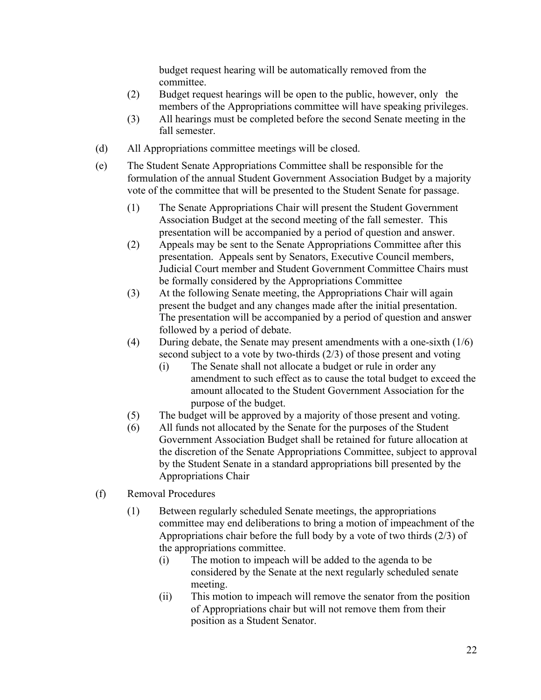budget request hearing will be automatically removed from the committee.

- (2) Budget request hearings will be open to the public, however, only the members of the Appropriations committee will have speaking privileges.
- (3) All hearings must be completed before the second Senate meeting in the fall semester.
- (d) All Appropriations committee meetings will be closed.
- (e) The Student Senate Appropriations Committee shall be responsible for the formulation of the annual Student Government Association Budget by a majority vote of the committee that will be presented to the Student Senate for passage.
	- (1) The Senate Appropriations Chair will present the Student Government Association Budget at the second meeting of the fall semester. This presentation will be accompanied by a period of question and answer.
	- (2) Appeals may be sent to the Senate Appropriations Committee after this presentation. Appeals sent by Senators, Executive Council members, Judicial Court member and Student Government Committee Chairs must be formally considered by the Appropriations Committee
	- (3) At the following Senate meeting, the Appropriations Chair will again present the budget and any changes made after the initial presentation. The presentation will be accompanied by a period of question and answer followed by a period of debate.
	- (4) During debate, the Senate may present amendments with a one-sixth (1/6) second subject to a vote by two-thirds (2/3) of those present and voting
		- (i) The Senate shall not allocate a budget or rule in order any amendment to such effect as to cause the total budget to exceed the amount allocated to the Student Government Association for the purpose of the budget.
	- (5) The budget will be approved by a majority of those present and voting.
	- (6) All funds not allocated by the Senate for the purposes of the Student Government Association Budget shall be retained for future allocation at the discretion of the Senate Appropriations Committee, subject to approval by the Student Senate in a standard appropriations bill presented by the Appropriations Chair
- (f) Removal Procedures
	- (1) Between regularly scheduled Senate meetings, the appropriations committee may end deliberations to bring a motion of impeachment of the Appropriations chair before the full body by a vote of two thirds (2/3) of the appropriations committee.
		- (i) The motion to impeach will be added to the agenda to be considered by the Senate at the next regularly scheduled senate meeting.
		- (ii) This motion to impeach will remove the senator from the position of Appropriations chair but will not remove them from their position as a Student Senator.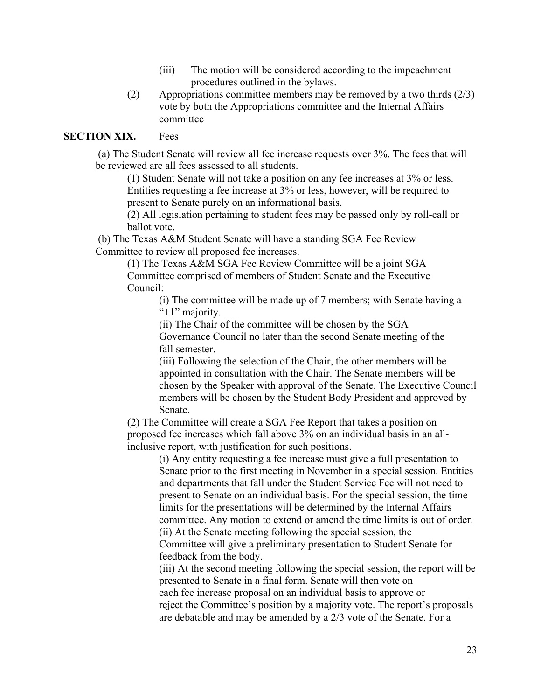- (iii) The motion will be considered according to the impeachment procedures outlined in the bylaws.
- (2) Appropriations committee members may be removed by a two thirds (2/3) vote by both the Appropriations committee and the Internal Affairs committee

### **SECTION XIX.** Fees

 (a) The Student Senate will review all fee increase requests over 3%. The fees that will be reviewed are all fees assessed to all students.

(1) Student Senate will not take a position on any fee increases at 3% or less. Entities requesting a fee increase at 3% or less, however, will be required to present to Senate purely on an informational basis.

(2) All legislation pertaining to student fees may be passed only by roll-call or ballot vote.

 (b) The Texas A&M Student Senate will have a standing SGA Fee Review Committee to review all proposed fee increases.

> (1) The Texas A&M SGA Fee Review Committee will be a joint SGA Committee comprised of members of Student Senate and the Executive Council:

> > (i) The committee will be made up of 7 members; with Senate having a "+1" majority.

(ii) The Chair of the committee will be chosen by the SGA

Governance Council no later than the second Senate meeting of the fall semester.

(iii) Following the selection of the Chair, the other members will be appointed in consultation with the Chair. The Senate members will be chosen by the Speaker with approval of the Senate. The Executive Council members will be chosen by the Student Body President and approved by Senate.

(2) The Committee will create a SGA Fee Report that takes a position on proposed fee increases which fall above 3% on an individual basis in an allinclusive report, with justification for such positions.

(i) Any entity requesting a fee increase must give a full presentation to Senate prior to the first meeting in November in a special session. Entities and departments that fall under the Student Service Fee will not need to present to Senate on an individual basis. For the special session, the time limits for the presentations will be determined by the Internal Affairs committee. Any motion to extend or amend the time limits is out of order. (ii) At the Senate meeting following the special session, the Committee will give a preliminary presentation to Student Senate for feedback from the body.

(iii) At the second meeting following the special session, the report will be presented to Senate in a final form. Senate will then vote on each fee increase proposal on an individual basis to approve or reject the Committee's position by a majority vote. The report's proposals are debatable and may be amended by a 2/3 vote of the Senate. For a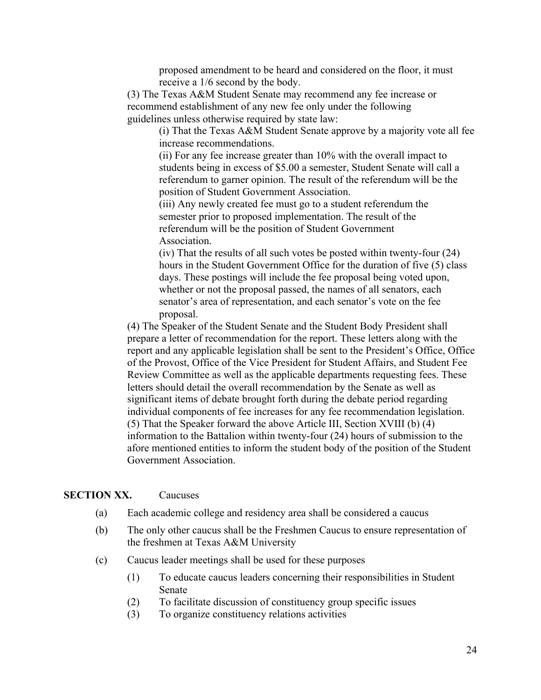proposed amendment to be heard and considered on the floor, it must receive a 1/6 second by the body.

(3) The Texas A&M Student Senate may recommend any fee increase or recommend establishment of any new fee only under the following guidelines unless otherwise required by state law:

> (i) That the Texas A&M Student Senate approve by a majority vote all fee increase recommendations.

(ii) For any fee increase greater than 10% with the overall impact to students being in excess of \$5.00 a semester, Student Senate will call a referendum to garner opinion. The result of the referendum will be the position of Student Government Association.

(iii) Any newly created fee must go to a student referendum the semester prior to proposed implementation. The result of the referendum will be the position of Student Government **Association** 

(iv) That the results of all such votes be posted within twenty-four (24) hours in the Student Government Office for the duration of five (5) class days. These postings will include the fee proposal being voted upon, whether or not the proposal passed, the names of all senators, each senator's area of representation, and each senator's vote on the fee proposal.

(4) The Speaker of the Student Senate and the Student Body President shall prepare a letter of recommendation for the report. These letters along with the report and any applicable legislation shall be sent to the President's Office, Office of the Provost, Office of the Vice President for Student Affairs, and Student Fee Review Committee as well as the applicable departments requesting fees. These letters should detail the overall recommendation by the Senate as well as significant items of debate brought forth during the debate period regarding individual components of fee increases for any fee recommendation legislation. (5) That the Speaker forward the above Article III, Section XVIII (b) (4) information to the Battalion within twenty-four (24) hours of submission to the afore mentioned entities to inform the student body of the position of the Student Government Association.

#### **SECTION XX.** Caucuses

- (a) Each academic college and residency area shall be considered a caucus
- (b) The only other caucus shall be the Freshmen Caucus to ensure representation of the freshmen at Texas A&M University
- (c) Caucus leader meetings shall be used for these purposes
	- (1) To educate caucus leaders concerning their responsibilities in Student Senate
	- (2) To facilitate discussion of constituency group specific issues
	- (3) To organize constituency relations activities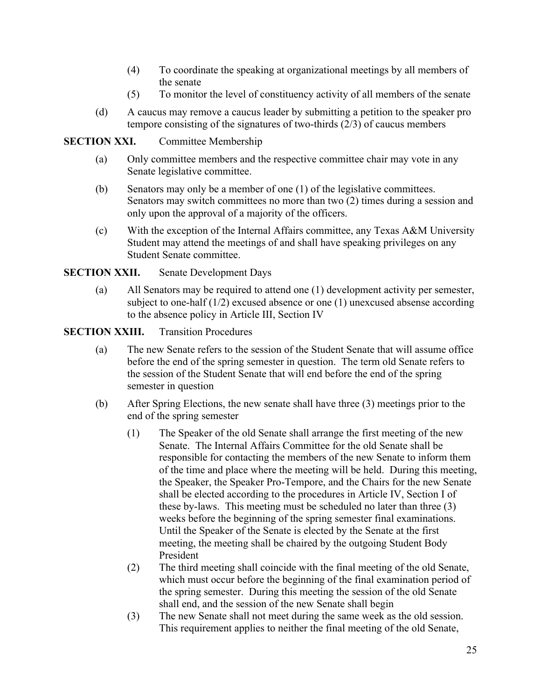- (4) To coordinate the speaking at organizational meetings by all members of the senate
- (5) To monitor the level of constituency activity of all members of the senate
- (d) A caucus may remove a caucus leader by submitting a petition to the speaker pro tempore consisting of the signatures of two-thirds  $(2/3)$  of caucus members

### **SECTION XXI.** Committee Membership

- (a) Only committee members and the respective committee chair may vote in any Senate legislative committee.
- (b) Senators may only be a member of one (1) of the legislative committees. Senators may switch committees no more than two  $(2)$  times during a session and only upon the approval of a majority of the officers.
- (c) With the exception of the Internal Affairs committee, any Texas A&M University Student may attend the meetings of and shall have speaking privileges on any Student Senate committee.

## **SECTION XXII.** Senate Development Days

(a) All Senators may be required to attend one (1) development activity per semester, subject to one-half (1/2) excused absence or one (1) unexcused absense according to the absence policy in Article III, Section IV

## **SECTION XXIII.** Transition Procedures

- (a) The new Senate refers to the session of the Student Senate that will assume office before the end of the spring semester in question. The term old Senate refers to the session of the Student Senate that will end before the end of the spring semester in question
- (b) After Spring Elections, the new senate shall have three (3) meetings prior to the end of the spring semester
	- (1) The Speaker of the old Senate shall arrange the first meeting of the new Senate. The Internal Affairs Committee for the old Senate shall be responsible for contacting the members of the new Senate to inform them of the time and place where the meeting will be held. During this meeting, the Speaker, the Speaker Pro-Tempore, and the Chairs for the new Senate shall be elected according to the procedures in Article IV, Section I of these by-laws. This meeting must be scheduled no later than three (3) weeks before the beginning of the spring semester final examinations. Until the Speaker of the Senate is elected by the Senate at the first meeting, the meeting shall be chaired by the outgoing Student Body President
	- (2) The third meeting shall coincide with the final meeting of the old Senate, which must occur before the beginning of the final examination period of the spring semester. During this meeting the session of the old Senate shall end, and the session of the new Senate shall begin
	- (3) The new Senate shall not meet during the same week as the old session. This requirement applies to neither the final meeting of the old Senate,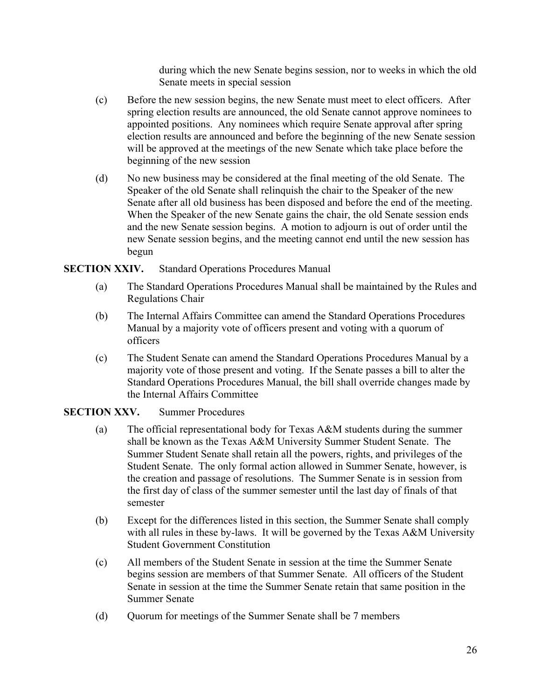during which the new Senate begins session, nor to weeks in which the old Senate meets in special session

- (c) Before the new session begins, the new Senate must meet to elect officers. After spring election results are announced, the old Senate cannot approve nominees to appointed positions. Any nominees which require Senate approval after spring election results are announced and before the beginning of the new Senate session will be approved at the meetings of the new Senate which take place before the beginning of the new session
- (d) No new business may be considered at the final meeting of the old Senate. The Speaker of the old Senate shall relinquish the chair to the Speaker of the new Senate after all old business has been disposed and before the end of the meeting. When the Speaker of the new Senate gains the chair, the old Senate session ends and the new Senate session begins. A motion to adjourn is out of order until the new Senate session begins, and the meeting cannot end until the new session has begun

### **SECTION XXIV.** Standard Operations Procedures Manual

- (a) The Standard Operations Procedures Manual shall be maintained by the Rules and Regulations Chair
- (b) The Internal Affairs Committee can amend the Standard Operations Procedures Manual by a majority vote of officers present and voting with a quorum of officers
- (c) The Student Senate can amend the Standard Operations Procedures Manual by a majority vote of those present and voting. If the Senate passes a bill to alter the Standard Operations Procedures Manual, the bill shall override changes made by the Internal Affairs Committee

### **SECTION XXV.** Summer Procedures

- (a) The official representational body for Texas A&M students during the summer shall be known as the Texas A&M University Summer Student Senate. The Summer Student Senate shall retain all the powers, rights, and privileges of the Student Senate. The only formal action allowed in Summer Senate, however, is the creation and passage of resolutions. The Summer Senate is in session from the first day of class of the summer semester until the last day of finals of that semester
- (b) Except for the differences listed in this section, the Summer Senate shall comply with all rules in these by-laws. It will be governed by the Texas A&M University Student Government Constitution
- (c) All members of the Student Senate in session at the time the Summer Senate begins session are members of that Summer Senate. All officers of the Student Senate in session at the time the Summer Senate retain that same position in the Summer Senate
- (d) Quorum for meetings of the Summer Senate shall be 7 members